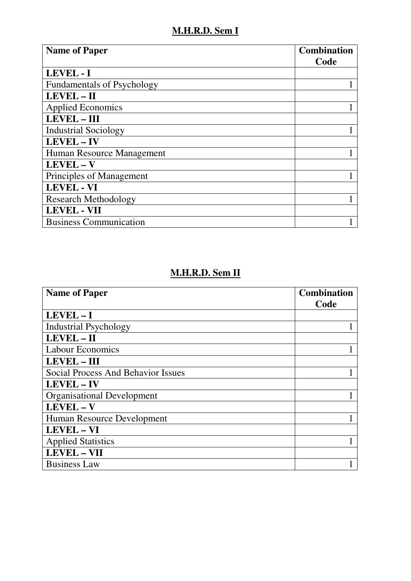## **M.H.R.D. Sem I**

| <b>Name of Paper</b>              | <b>Combination</b> |
|-----------------------------------|--------------------|
|                                   | Code               |
| LEVEL - I                         |                    |
| <b>Fundamentals of Psychology</b> |                    |
| LEVEL - II                        |                    |
| <b>Applied Economics</b>          |                    |
| <b>LEVEL-III</b>                  |                    |
| <b>Industrial Sociology</b>       |                    |
| LEVEL - IV                        |                    |
| Human Resource Management         |                    |
| LEVEL - V                         |                    |
| Principles of Management          |                    |
| <b>LEVEL - VI</b>                 |                    |
| <b>Research Methodology</b>       |                    |
| <b>LEVEL - VII</b>                |                    |
| <b>Business Communication</b>     |                    |

## **M.H.R.D. Sem II**

| <b>Name of Paper</b>                      | <b>Combination</b> |
|-------------------------------------------|--------------------|
|                                           | Code               |
| $LEVEL - I$                               |                    |
| <b>Industrial Psychology</b>              |                    |
| LEVEL-II                                  |                    |
| <b>Labour Economics</b>                   |                    |
| <b>LEVEL-III</b>                          |                    |
| <b>Social Process And Behavior Issues</b> |                    |
| LEVEL - IV                                |                    |
| <b>Organisational Development</b>         |                    |
| LEVEL-V                                   |                    |
| Human Resource Development                |                    |
| LEVEL - VI                                |                    |
| <b>Applied Statistics</b>                 |                    |
| <b>LEVEL - VII</b>                        |                    |
| <b>Business Law</b>                       |                    |